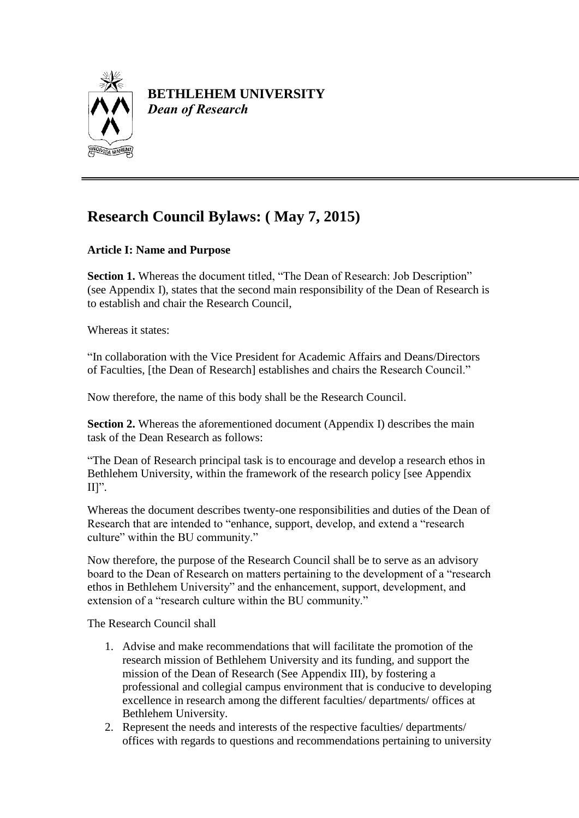

## **BETHLEHEM UNIVERSITY** *Dean of Research*

# **Research Council Bylaws: ( May 7, 2015)**

## **Article I: Name and Purpose**

**Section 1.** Whereas the document titled, "The Dean of Research: Job Description" (see Appendix I), states that the second main responsibility of the Dean of Research is to establish and chair the Research Council,

Whereas it states:

"In collaboration with the Vice President for Academic Affairs and Deans/Directors of Faculties, [the Dean of Research] establishes and chairs the Research Council."

Now therefore, the name of this body shall be the Research Council.

**Section 2.** Whereas the aforementioned document (Appendix I) describes the main task of the Dean Research as follows:

"The Dean of Research principal task is to encourage and develop a research ethos in Bethlehem University, within the framework of the research policy [see Appendix II]".

Whereas the document describes twenty-one responsibilities and duties of the Dean of Research that are intended to "enhance, support, develop, and extend a "research culture" within the BU community."

Now therefore, the purpose of the Research Council shall be to serve as an advisory board to the Dean of Research on matters pertaining to the development of a "research ethos in Bethlehem University" and the enhancement, support, development, and extension of a "research culture within the BU community."

The Research Council shall

- 1. Advise and make recommendations that will facilitate the promotion of the research mission of Bethlehem University and its funding, and support the mission of the Dean of Research (See Appendix III), by fostering a professional and collegial campus environment that is conducive to developing excellence in research among the different faculties/ departments/ offices at Bethlehem University.
- 2. Represent the needs and interests of the respective faculties/ departments/ offices with regards to questions and recommendations pertaining to university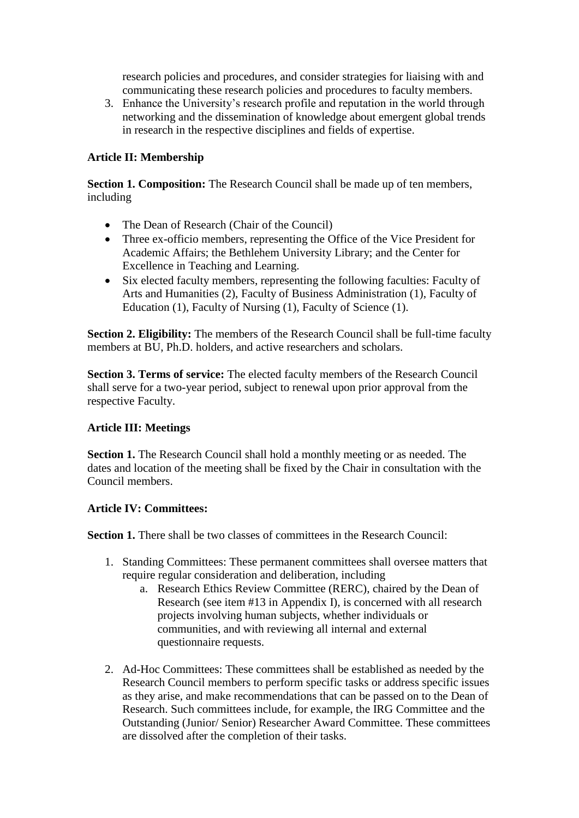research policies and procedures, and consider strategies for liaising with and communicating these research policies and procedures to faculty members.

3. Enhance the University's research profile and reputation in the world through networking and the dissemination of knowledge about emergent global trends in research in the respective disciplines and fields of expertise.

## **Article II: Membership**

**Section 1. Composition:** The Research Council shall be made up of ten members, including

- The Dean of Research (Chair of the Council)
- Three ex-officio members, representing the Office of the Vice President for Academic Affairs; the Bethlehem University Library; and the Center for Excellence in Teaching and Learning.
- Six elected faculty members, representing the following faculties: Faculty of Arts and Humanities (2), Faculty of Business Administration (1), Faculty of Education (1), Faculty of Nursing (1), Faculty of Science (1).

**Section 2. Eligibility:** The members of the Research Council shall be full-time faculty members at BU, Ph.D. holders, and active researchers and scholars.

**Section 3. Terms of service:** The elected faculty members of the Research Council shall serve for a two-year period, subject to renewal upon prior approval from the respective Faculty.

## **Article III: Meetings**

**Section 1.** The Research Council shall hold a monthly meeting or as needed. The dates and location of the meeting shall be fixed by the Chair in consultation with the Council members.

## **Article IV: Committees:**

**Section 1.** There shall be two classes of committees in the Research Council:

- 1. Standing Committees: These permanent committees shall oversee matters that require regular consideration and deliberation, including
	- a. Research Ethics Review Committee (RERC), chaired by the Dean of Research (see item #13 in Appendix I), is concerned with all research projects involving human subjects, whether individuals or communities, and with reviewing all internal and external questionnaire requests.
- 2. Ad-Hoc Committees: These committees shall be established as needed by the Research Council members to perform specific tasks or address specific issues as they arise, and make recommendations that can be passed on to the Dean of Research. Such committees include, for example, the IRG Committee and the Outstanding (Junior/ Senior) Researcher Award Committee. These committees are dissolved after the completion of their tasks.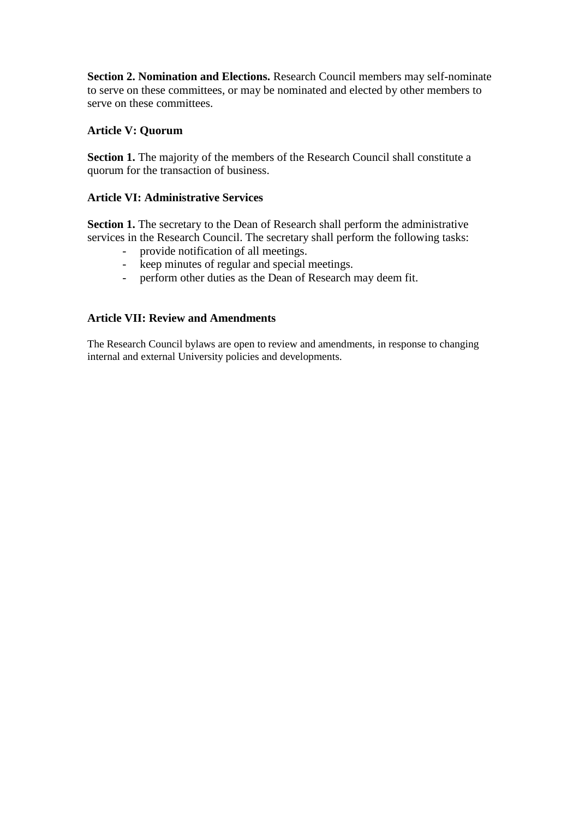**Section 2. Nomination and Elections.** Research Council members may self-nominate to serve on these committees, or may be nominated and elected by other members to serve on these committees.

## **Article V: Quorum**

**Section 1.** The majority of the members of the Research Council shall constitute a quorum for the transaction of business.

## **Article VI: Administrative Services**

**Section 1.** The secretary to the Dean of Research shall perform the administrative services in the Research Council. The secretary shall perform the following tasks:

- provide notification of all meetings.
- keep minutes of regular and special meetings.
- perform other duties as the Dean of Research may deem fit.

#### **Article VII: Review and Amendments**

The Research Council bylaws are open to review and amendments, in response to changing internal and external University policies and developments.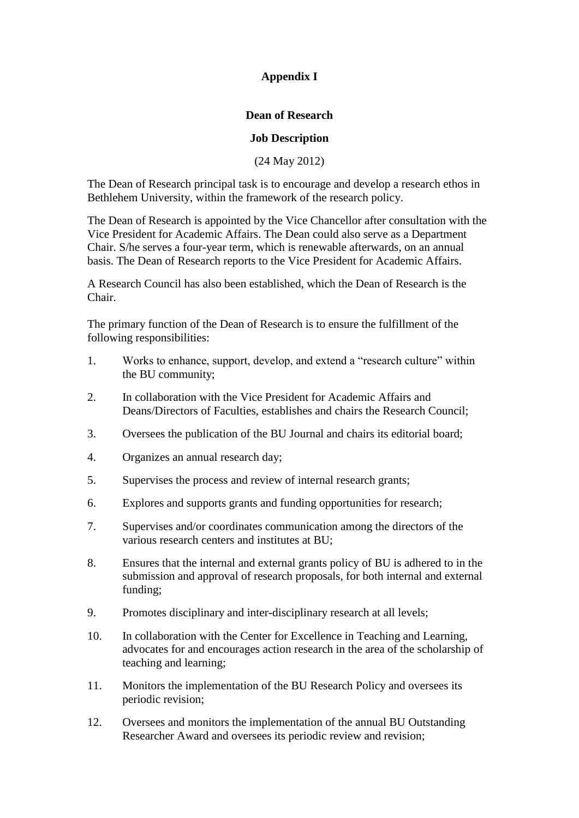## **Appendix I**

## **Dean of Research**

#### **Job Description**

(24 May 2012)

The Dean of Research principal task is to encourage and develop a research ethos in Bethlehem University, within the framework of the research policy.

The Dean of Research is appointed by the Vice Chancellor after consultation with the Vice President for Academic Affairs. The Dean could also serve as a Department Chair. S/he serves a four-year term, which is renewable afterwards, on an annual basis. The Dean of Research reports to the Vice President for Academic Affairs.

A Research Council has also been established, which the Dean of Research is the Chair.

The primary function of the Dean of Research is to ensure the fulfillment of the following responsibilities:

- 1. Works to enhance, support, develop, and extend a "research culture" within the BU community;
- 2. In collaboration with the Vice President for Academic Affairs and Deans/Directors of Faculties, establishes and chairs the Research Council;
- 3. Oversees the publication of the BU Journal and chairs its editorial board;
- 4. Organizes an annual research day;
- 5. Supervises the process and review of internal research grants;
- 6. Explores and supports grants and funding opportunities for research;
- 7. Supervises and/or coordinates communication among the directors of the various research centers and institutes at BU;
- 8. Ensures that the internal and external grants policy of BU is adhered to in the submission and approval of research proposals, for both internal and external funding;
- 9. Promotes disciplinary and inter-disciplinary research at all levels;
- 10. In collaboration with the Center for Excellence in Teaching and Learning, advocates for and encourages action research in the area of the scholarship of teaching and learning;
- 11. Monitors the implementation of the BU Research Policy and oversees its periodic revision;
- 12. Oversees and monitors the implementation of the annual BU Outstanding Researcher Award and oversees its periodic review and revision;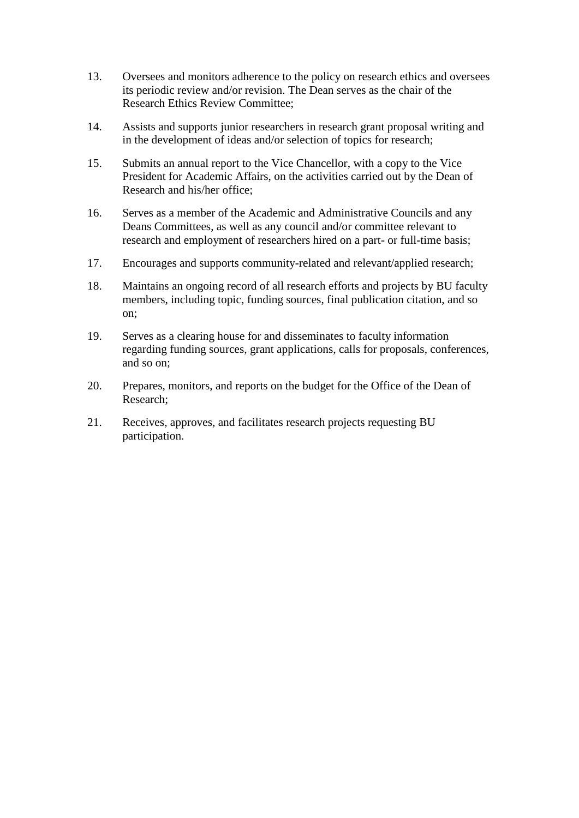- 13. Oversees and monitors adherence to the policy on research ethics and oversees its periodic review and/or revision. The Dean serves as the chair of the Research Ethics Review Committee;
- 14. Assists and supports junior researchers in research grant proposal writing and in the development of ideas and/or selection of topics for research;
- 15. Submits an annual report to the Vice Chancellor, with a copy to the Vice President for Academic Affairs, on the activities carried out by the Dean of Research and his/her office;
- 16. Serves as a member of the Academic and Administrative Councils and any Deans Committees, as well as any council and/or committee relevant to research and employment of researchers hired on a part- or full-time basis;
- 17. Encourages and supports community-related and relevant/applied research;
- 18. Maintains an ongoing record of all research efforts and projects by BU faculty members, including topic, funding sources, final publication citation, and so on;
- 19. Serves as a clearing house for and disseminates to faculty information regarding funding sources, grant applications, calls for proposals, conferences, and so on;
- 20. Prepares, monitors, and reports on the budget for the Office of the Dean of Research;
- 21. Receives, approves, and facilitates research projects requesting BU participation.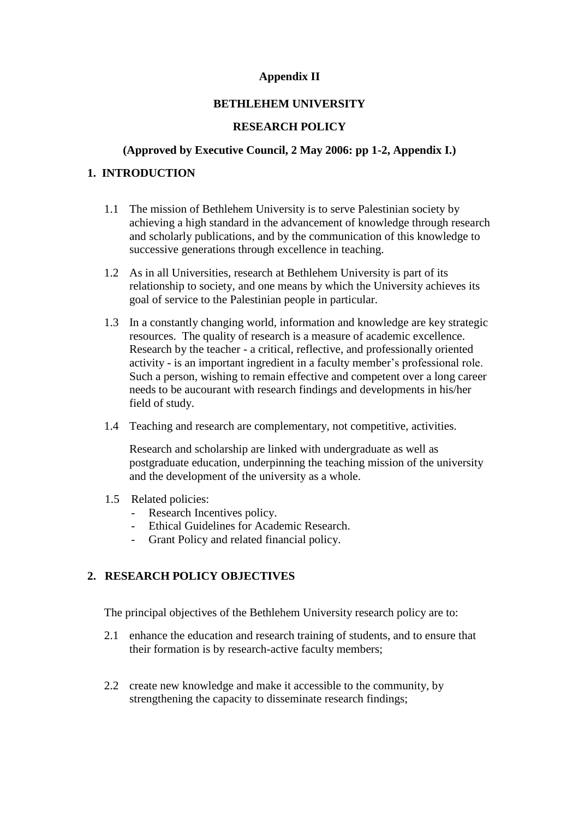#### **Appendix II**

#### **BETHLEHEM UNIVERSITY**

#### **RESEARCH POLICY**

#### **(Approved by Executive Council, 2 May 2006: pp 1-2, Appendix I.)**

#### **1. INTRODUCTION**

- 1.1 The mission of Bethlehem University is to serve Palestinian society by achieving a high standard in the advancement of knowledge through research and scholarly publications, and by the communication of this knowledge to successive generations through excellence in teaching.
- 1.2 As in all Universities, research at Bethlehem University is part of its relationship to society, and one means by which the University achieves its goal of service to the Palestinian people in particular.
- 1.3 In a constantly changing world, information and knowledge are key strategic resources. The quality of research is a measure of academic excellence. Research by the teacher - a critical, reflective, and professionally oriented activity - is an important ingredient in a faculty member's professional role. Such a person, wishing to remain effective and competent over a long career needs to be aucourant with research findings and developments in his/her field of study.
- 1.4 Teaching and research are complementary, not competitive, activities.

Research and scholarship are linked with undergraduate as well as postgraduate education, underpinning the teaching mission of the university and the development of the university as a whole.

- 1.5 Related policies:
	- Research Incentives policy.
	- Ethical Guidelines for Academic Research.
	- Grant Policy and related financial policy.

## **2. RESEARCH POLICY OBJECTIVES**

The principal objectives of the Bethlehem University research policy are to:

- 2.1 enhance the education and research training of students, and to ensure that their formation is by research-active faculty members;
- 2.2 create new knowledge and make it accessible to the community, by strengthening the capacity to disseminate research findings;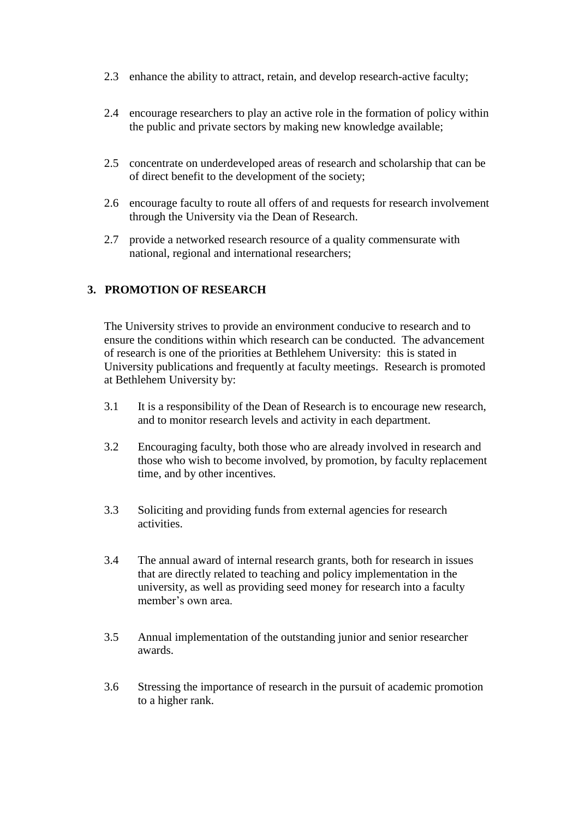- 2.3 enhance the ability to attract, retain, and develop research-active faculty;
- 2.4 encourage researchers to play an active role in the formation of policy within the public and private sectors by making new knowledge available;
- 2.5 concentrate on underdeveloped areas of research and scholarship that can be of direct benefit to the development of the society;
- 2.6 encourage faculty to route all offers of and requests for research involvement through the University via the Dean of Research.
- 2.7 provide a networked research resource of a quality commensurate with national, regional and international researchers;

## **3. PROMOTION OF RESEARCH**

The University strives to provide an environment conducive to research and to ensure the conditions within which research can be conducted. The advancement of research is one of the priorities at Bethlehem University: this is stated in University publications and frequently at faculty meetings. Research is promoted at Bethlehem University by:

- 3.1 It is a responsibility of the Dean of Research is to encourage new research, and to monitor research levels and activity in each department.
- 3.2 Encouraging faculty, both those who are already involved in research and those who wish to become involved, by promotion, by faculty replacement time, and by other incentives.
- 3.3 Soliciting and providing funds from external agencies for research activities.
- 3.4 The annual award of internal research grants, both for research in issues that are directly related to teaching and policy implementation in the university, as well as providing seed money for research into a faculty member's own area.
- 3.5 Annual implementation of the outstanding junior and senior researcher awards.
- 3.6 Stressing the importance of research in the pursuit of academic promotion to a higher rank.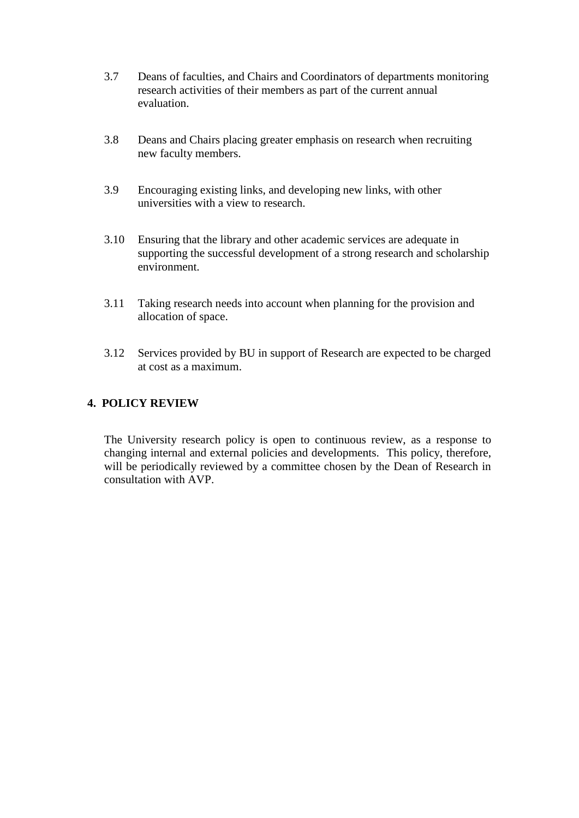- 3.7 Deans of faculties, and Chairs and Coordinators of departments monitoring research activities of their members as part of the current annual evaluation.
- 3.8 Deans and Chairs placing greater emphasis on research when recruiting new faculty members.
- 3.9 Encouraging existing links, and developing new links, with other universities with a view to research.
- 3.10 Ensuring that the library and other academic services are adequate in supporting the successful development of a strong research and scholarship environment.
- 3.11 Taking research needs into account when planning for the provision and allocation of space.
- 3.12 Services provided by BU in support of Research are expected to be charged at cost as a maximum.

#### **4. POLICY REVIEW**

The University research policy is open to continuous review, as a response to changing internal and external policies and developments. This policy, therefore, will be periodically reviewed by a committee chosen by the Dean of Research in consultation with AVP.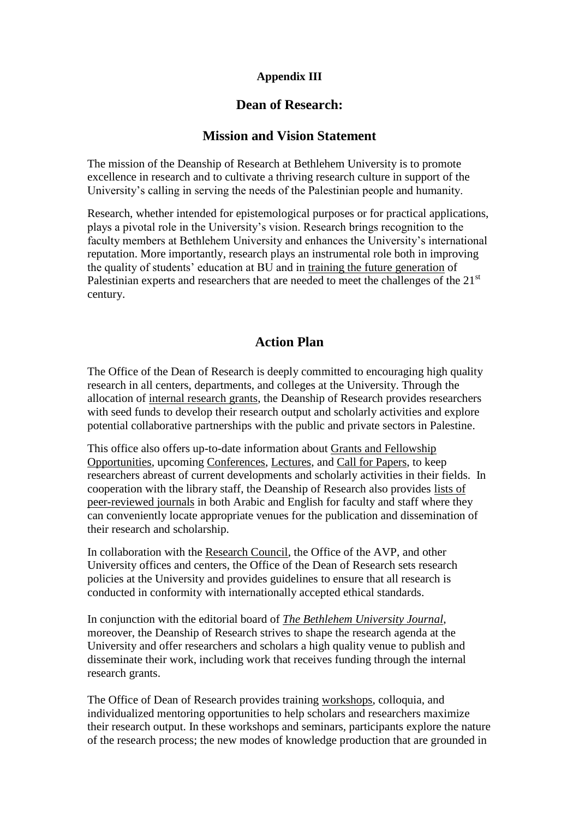## **Appendix III**

## **Dean of Research:**

## **Mission and Vision Statement**

The mission of the Deanship of Research at Bethlehem University is to promote excellence in research and to cultivate a thriving research culture in support of the University's calling in serving the needs of the Palestinian people and humanity.

Research, whether intended for epistemological purposes or for practical applications, plays a pivotal role in the University's vision. Research brings recognition to the faculty members at Bethlehem University and enhances the University's international reputation. More importantly, research plays an instrumental role both in improving the quality of students' education at BU and in [training the future generation](http://www.bethlehem.edu/4-adm/avp/res/adm-avp-res-9-12-2014-undergraduate-student-research) of Palestinian experts and researchers that are needed to meet the challenges of the 21<sup>st</sup> century.

## **Action Plan**

The Office of the Dean of Research is deeply committed to encouraging high quality research in all centers, departments, and colleges at the University. Through the allocation of [internal research grants,](http://www.bethlehem.edu/AVP/research/IRG/policies) the Deanship of Research provides researchers with seed funds to develop their research output and scholarly activities and explore potential collaborative partnerships with the public and private sectors in Palestine.

This office also offers up-to-date information about [Grants and Fellowship](http://www.bethlehem.edu/AVP/research/IRG/Grants)  [Opportunities,](http://www.bethlehem.edu/AVP/research/IRG/Grants) upcoming [Conferences,](http://www.bethlehem.edu/bethlehem.edu/AVP/research/conferences) [Lectures,](http://www.bethlehem.edu/4-adm/avp/res/adm-avp-res-lectures-27-10-2014) and [Call for Papers,](http://www.bethlehem.edu/AVP/research/CFP) to keep researchers abreast of current developments and scholarly activities in their fields. In cooperation with the library staff, the Deanship of Research also provides [lists of](http://www.bethlehem.edu/4-adm/avp/res/adm-avp-res-29-10-2015-peer-reviewed-journal)  [peer-reviewed journals](http://www.bethlehem.edu/4-adm/avp/res/adm-avp-res-29-10-2015-peer-reviewed-journal) in both Arabic and English for faculty and staff where they can conveniently locate appropriate venues for the publication and dissemination of their research and scholarship.

In collaboration with the [Research Council,](http://www.bethlehem.edu/4-adm/avp/res/adm-avp-res-10-12-2014-research-council) the Office of the AVP, and other University offices and centers, the Office of the Dean of Research sets research policies at the University and provides guidelines to ensure that all research is conducted in conformity with internationally accepted ethical standards.

In conjunction with the editorial board of *[The Bethlehem University Journal](http://www.bethlehem.edu/AVP/research/BUJ)*, moreover, the Deanship of Research strives to shape the research agenda at the University and offer researchers and scholars a high quality venue to publish and disseminate their work, including work that receives funding through the internal research grants.

The Office of Dean of Research provides training [workshops,](http://www.bethlehem.edu/AVP/research/colloquia-and-workshops) colloquia, and individualized mentoring opportunities to help scholars and researchers maximize their research output. In these workshops and seminars, participants explore the nature of the research process; the new modes of knowledge production that are grounded in